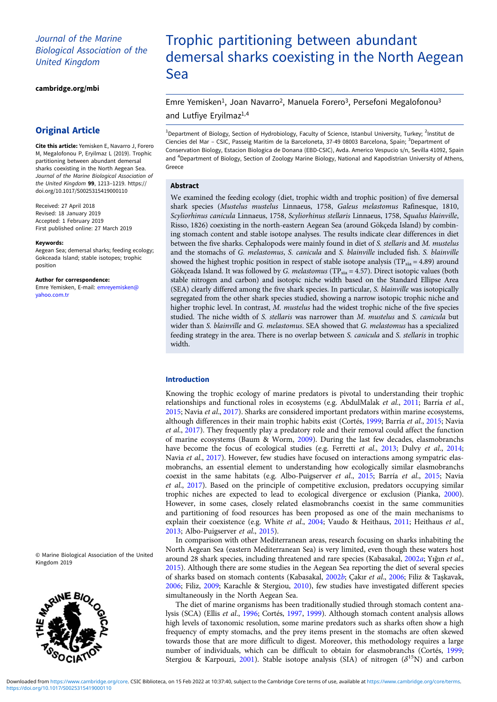# Journal of the Marine Biological Association of the United Kingdom

[cambridge.org/mbi](https://www.cambridge.org/mbi)

# Original Article

Cite this article: Yemisken E, Navarro J, Forero M, Megalofonou P, Eryilmaz L (2019). Trophic partitioning between abundant demersal sharks coexisting in the North Aegean Sea. Journal of the Marine Biological Association of the United Kingdom 99, 1213–1219. [https://](https://doi.org/10.1017/S0025315419000110) [doi.org/10.1017/S0025315419000110](https://doi.org/10.1017/S0025315419000110)

Received: 27 April 2018 Revised: 18 January 2019 Accepted: 1 February 2019 First published online: 27 March 2019

#### Keywords:

Aegean Sea; demersal sharks; feeding ecology; Gokceada Island; stable isotopes; trophic position

Author for correspondence:

Emre Yemisken, E-mail: [emreyemisken@](mailto:emreyemisken@yahoo.com.tr) [yahoo.com.tr](mailto:emreyemisken@yahoo.com.tr)

© Marine Biological Association of the United Kingdom 2019



# Trophic partitioning between abundant demersal sharks coexisting in the North Aegean Sea

Emre Yemisken<sup>1</sup>, Joan Navarro<sup>2</sup>, Manuela Forero<sup>3</sup>, Persefoni Megalofonou<sup>3</sup> and Lutfiye Eryilmaz<sup>1,4</sup>

<sup>1</sup>Department of Biology, Section of Hydrobiology, Faculty of Science, Istanbul University, Turkey; <sup>2</sup>Institut de Ciencies del Mar - CSIC, Passeig Maritim de la Barceloneta, 37-49 08003 Barcelona, Spain; <sup>3</sup>Department of Conservation Biology, Estacion Biologica de Donana (EBD-CSIC), Avda. Americo Vespucio s/n, Sevilla 41092, Spain and <sup>4</sup>Department of Biology, Section of Zoology Marine Biology, National and Kapodistrian University of Athens, Greece

#### Abstract

We examined the feeding ecology (diet, trophic width and trophic position) of five demersal shark species (Mustelus mustelus Linnaeus, 1758, Galeus melastomus Rafinesque, 1810, Scyliorhinus canicula Linnaeus, 1758, Scyliorhinus stellaris Linnaeus, 1758, Squalus blainville, Risso, 1826) coexisting in the north-eastern Aegean Sea (around Gökçeda Island) by combining stomach content and stable isotope analyses. The results indicate clear differences in diet between the five sharks. Cephalopods were mainly found in diet of S. stellaris and M. mustelus and the stomachs of G. melastomus, S. canicula and S. blainville included fish. S. blainville showed the highest trophic position in respect of stable isotope analysis ( $TP_{\text{via}} = 4.89$ ) around Gökçeada Island. It was followed by G. melastomus (TP $_{\text{sia}}$  = 4.57). Direct isotopic values (both stable nitrogen and carbon) and isotopic niche width based on the Standard Ellipse Area (SEA) clearly differed among the five shark species. In particular, S. blainville was isotopically segregated from the other shark species studied, showing a narrow isotopic trophic niche and higher trophic level. In contrast, M. mustelus had the widest trophic niche of the five species studied. The niche width of S. stellaris was narrower than M. mustelus and S. canicula but wider than S. blainville and G. melastomus. SEA showed that G. melastomus has a specialized feeding strategy in the area. There is no overlap between S. canicula and S. stellaris in trophic width.

# Introduction

Knowing the trophic ecology of marine predators is pivotal to understanding their trophic relationships and functional roles in ecosystems (e.g. AbdulMalak et al., [2011;](#page-5-0) Barría et al., [2015;](#page-5-0) Navia et al., [2017\)](#page-6-0). Sharks are considered important predators within marine ecosystems, although differences in their main trophic habits exist (Cortés, [1999](#page-5-0); Barría et al., [2015;](#page-5-0) Navia et al., [2017\)](#page-6-0). They frequently play a predatory role and their removal could affect the function of marine ecosystems (Baum & Worm, [2009\)](#page-5-0). During the last few decades, elasmobranchs have become the focus of ecological studies (e.g. Ferretti et al., [2013](#page-5-0); Dulvy et al., [2014](#page-5-0); Navia et al., [2017](#page-6-0)). However, few studies have focused on interactions among sympatric elasmobranchs, an essential element to understanding how ecologically similar elasmobranchs coexist in the same habitats (e.g. Albo-Puigserver et al., [2015](#page-5-0); Barría et al., [2015;](#page-5-0) Navia et al., [2017](#page-6-0)). Based on the principle of competitive exclusion, predators occupying similar trophic niches are expected to lead to ecological divergence or exclusion (Pianka, [2000](#page-6-0)). However, in some cases, closely related elasmobranchs coexist in the same communities and partitioning of food resources has been proposed as one of the main mechanisms to explain their coexistence (e.g. White et al., [2004](#page-6-0); Vaudo & Heithaus, [2011;](#page-6-0) Heithaus et al., [2013;](#page-6-0) Albo-Puigserver et al., [2015\)](#page-5-0).

In comparison with other Mediterranean areas, research focusing on sharks inhabiting the North Aegean Sea (eastern Mediterranean Sea) is very limited, even though these waters host around 28 shark species, including threatened and rare species (Kabasakal, [2002](#page-6-0)a; Yığın et al., [2015\)](#page-6-0). Although there are some studies in the Aegean Sea reporting the diet of several species of sharks based on stomach contents (Kabasakal, [2002](#page-6-0)b; Çakır et al., [2006](#page-5-0); Filiz & Taşkavak, [2006;](#page-6-0) Filiz, [2009](#page-6-0); Karachle & Stergiou, [2010](#page-6-0)), few studies have investigated different species simultaneously in the North Aegean Sea.

The diet of marine organisms has been traditionally studied through stomach content analysis (SCA) (Ellis et al., [1996;](#page-5-0) Cortés, [1997](#page-5-0), [1999\)](#page-5-0). Although stomach content analysis allows high levels of taxonomic resolution, some marine predators such as sharks often show a high frequency of empty stomachs, and the prey items present in the stomachs are often skewed towards those that are more difficult to digest. Moreover, this methodology requires a large number of individuals, which can be difficult to obtain for elasmobranchs (Cortés, [1999](#page-5-0); Stergiou & Karpouzi, [2001](#page-6-0)). Stable isotope analysis (SIA) of nitrogen  $(\delta^{15}N)$  and carbon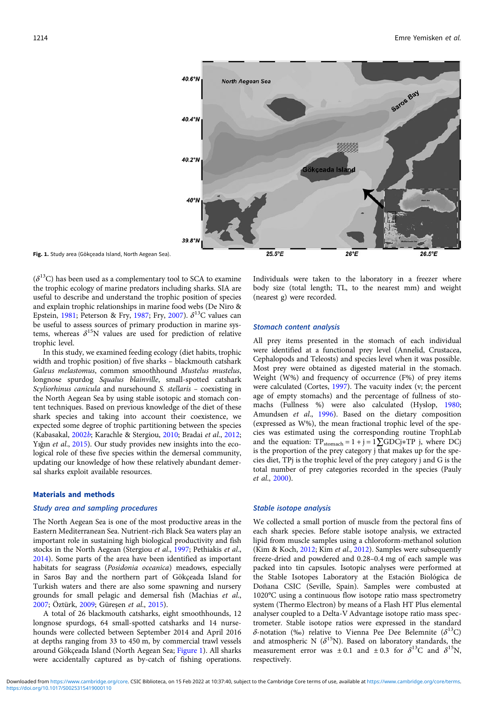

Fig. 1. Study area (Gökçeada Island, North Aegean Sea).

 $(\delta^{13}C)$  has been used as a complementary tool to SCA to examine the trophic ecology of marine predators including sharks. SIA are useful to describe and understand the trophic position of species and explain trophic relationships in marine food webs (De Niro & Epstein, [1981](#page-5-0); Peterson & Fry, [1987](#page-6-0); Fry, [2007\)](#page-6-0).  $\delta^{13}$ C values can be useful to assess sources of primary production in marine systems, whereas  $\delta^{15}N$  values are used for prediction of relative trophic level.

In this study, we examined feeding ecology (diet habits, trophic width and trophic position) of five sharks – blackmouth catshark Galeus melastomus, common smoothhound Mustelus mustelus, longnose spurdog Squalus blainville, small-spotted catshark Scyliorhinus canicula and nursehound S. stellaris – coexisting in the North Aegean Sea by using stable isotopic and stomach content techniques. Based on previous knowledge of the diet of these shark species and taking into account their coexistence, we expected some degree of trophic partitioning between the species (Kabasakal, [2002](#page-6-0)b; Karachle & Stergiou, [2010](#page-6-0); Bradai et al., [2012](#page-5-0); Yığın et al., [2015\)](#page-6-0). Our study provides new insights into the ecological role of these five species within the demersal community, updating our knowledge of how these relatively abundant demersal sharks exploit available resources.

## Materials and methods

## Study area and sampling procedures

The North Aegean Sea is one of the most productive areas in the Eastern Mediterranean Sea. Nutrient-rich Black Sea waters play an important role in sustaining high biological productivity and fish stocks in the North Aegean (Stergiou et al., [1997;](#page-6-0) Pethiakis et al., [2014\)](#page-6-0). Some parts of the area have been identified as important habitats for seagrass (Posidonia oceanica) meadows, especially in Saros Bay and the northern part of Gökçeada Island for Turkish waters and there are also some spawning and nursery grounds for small pelagic and demersal fish (Machias et al., [2007;](#page-6-0) Öztürk, [2009;](#page-6-0) Güreşen et al., [2015\)](#page-6-0).

A total of 26 blackmouth catsharks, eight smoothhounds, 12 longnose spurdogs, 64 small-spotted catsharks and 14 nursehounds were collected between September 2014 and April 2016 at depths ranging from 33 to 450 m, by commercial trawl vessels around Gökçeada Island (North Aegean Sea; Figure 1). All sharks were accidentally captured as by-catch of fishing operations.

Individuals were taken to the laboratory in a freezer where body size (total length; TL, to the nearest mm) and weight (nearest g) were recorded.

#### Stomach content analysis

All prey items presented in the stomach of each individual were identified at a functional prey level (Annelid, Crustacea, Cephalopods and Teleosts) and species level when it was possible. Most prey were obtained as digested material in the stomach. Weight (W%) and frequency of occurrence (F%) of prey items were calculated (Cortes, [1997](#page-5-0)). The vacuity index (v; the percent age of empty stomachs) and the percentage of fullness of stomachs (Fullness %) were also calculated (Hyslop, [1980;](#page-6-0) Amundsen et al., [1996](#page-5-0)). Based on the dietary composition (expressed as W%), the mean fractional trophic level of the species was estimated using the corresponding routine TrophLab and the equation:  $TP_{\text{stomach}} = 1 + j = 1 \sum GDCj * TP j$ , where DCj is the proportion of the prey category j that makes up for the species diet, TPj is the trophic level of the prey category j and G is the total number of prey categories recorded in the species (Pauly et al., [2000\)](#page-6-0).

#### Stable isotope analysis

We collected a small portion of muscle from the pectoral fins of each shark species. Before stable isotope analysis, we extracted lipid from muscle samples using a chloroform-methanol solution (Kim & Koch, [2012;](#page-6-0) Kim et al., [2012](#page-6-0)). Samples were subsequently freeze-dried and powdered and 0.28–0.4 mg of each sample was packed into tin capsules. Isotopic analyses were performed at the Stable Isotopes Laboratory at the Estación Biológica de Doñana CSIC (Seville, Spain). Samples were combusted at 1020°C using a continuous flow isotope ratio mass spectrometry system (Thermo Electron) by means of a Flash HT Plus elemental analyser coupled to a Delta-V Advantage isotope ratio mass spectrometer. Stable isotope ratios were expressed in the standard δ-notation (‰) relative to Vienna Pee Dee Belemnite ( $\delta^{13}$ C) and atmospheric N  $(\delta^{15}N)$ . Based on laboratory standards, the measurement error was  $\pm 0.1$  and  $\pm 0.3$  for  $\delta^{13}C$  and  $\delta^{15}N$ , respectively.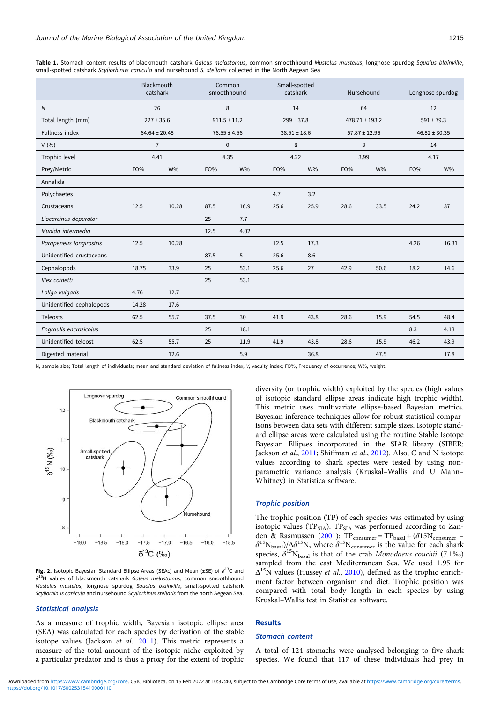|                          |       | Blackmouth<br>catshark | Common<br>smoothhound |       |      | Small-spotted<br>catshark |      | Nursehound         |      | Longnose spurdog  |
|--------------------------|-------|------------------------|-----------------------|-------|------|---------------------------|------|--------------------|------|-------------------|
| ${\cal N}$               |       | 26                     | 8                     |       |      | 14                        |      | 64                 |      | 12                |
| Total length (mm)        |       | $227 \pm 35.6$         | $911.5 \pm 11.2$      |       |      | $299 \pm 37.8$            |      | $478.71 \pm 193.2$ |      | $591 \pm 79.3$    |
| Fullness index           |       | $64.64 \pm 20.48$      | $76.55 \pm 4.56$      |       |      | $38.51 \pm 18.6$          |      | $57.87 \pm 12.96$  |      | $46.82 \pm 30.35$ |
| V(96)                    |       | $\overline{7}$         | $\mathbf 0$           |       |      | $\,8\,$                   |      | 3                  |      | 14                |
| Trophic level            | 4.41  |                        | 4.35                  |       | 4.22 |                           | 3.99 |                    | 4.17 |                   |
| Prey/Metric              | FO%   | <b>W%</b>              | FO%                   | $W\%$ | FO%  | W%                        | FO%  | W%                 | FO%  | $W\%$             |
| Annalida                 |       |                        |                       |       |      |                           |      |                    |      |                   |
| Polychaetes              |       |                        |                       |       | 4.7  | 3.2                       |      |                    |      |                   |
| Crustaceans              | 12.5  | 10.28                  | 87.5                  | 16.9  | 25.6 | 25.9                      | 28.6 | 33.5               | 24.2 | 37                |
| Liocarcinus depurator    |       |                        | 25                    | 7.7   |      |                           |      |                    |      |                   |
| Munida intermedia        |       |                        | 12.5                  | 4.02  |      |                           |      |                    |      |                   |
| Parapeneus longirostris  | 12.5  | 10.28                  |                       |       | 12.5 | 17.3                      |      |                    | 4.26 | 16.31             |
| Unidentified crustaceans |       |                        | 87.5                  | 5     | 25.6 | 8.6                       |      |                    |      |                   |
| Cephalopods              | 18.75 | 33.9                   | 25                    | 53.1  | 25.6 | 27                        | 42.9 | 50.6               | 18.2 | 14.6              |
| Illex coidetti           |       |                        | 25                    | 53.1  |      |                           |      |                    |      |                   |
| Loligo vulgaris          | 4.76  | 12.7                   |                       |       |      |                           |      |                    |      |                   |
| Unidentified cephalopods | 14.28 | 17.6                   |                       |       |      |                           |      |                    |      |                   |
| Teleosts                 | 62.5  | 55.7                   | 37.5                  | 30    | 41.9 | 43.8                      | 28.6 | 15.9               | 54.5 | 48.4              |
| Engraulis encrasicolus   |       |                        | 25                    | 18.1  |      |                           |      |                    | 8.3  | 4.13              |
| Unidentified teleost     | 62.5  | 55.7                   | 25                    | 11.9  | 41.9 | 43.8                      | 28.6 | 15.9               | 46.2 | 43.9              |
| Digested material        |       | 12.6                   |                       | 5.9   |      | 36.8                      |      | 47.5               |      | 17.8              |

<span id="page-2-0"></span>Table 1. Stomach content results of blackmouth catshark Galeus melastomus, common smoothhound Mustelus mustelus, longnose spurdog Squalus blainville, small-spotted catshark Scyliorhinus canicula and nursehound S. stellaris collected in the North Aegean Sea

N, sample size; Total length of individuals; mean and standard deviation of fullness index; V, vacuity index; FO%, Frequency of occurrence; W%, weight.



Fig. 2. Isotopic Bayesian Standard Ellipse Areas (SEAc) and Mean (±SE) of  $\delta^{13}$ C and  $\delta^{15}$ N values of blackmouth catshark Galeus melastomus, common smoothhound Mustelus mustelus, longnose spurdog Squalus blainville, small-spotted catshark Scyliorhinus canicula and nursehound Scyliorhinus stellaris from the north Aegean Sea.

#### Statistical analysis

As a measure of trophic width, Bayesian isotopic ellipse area (SEA) was calculated for each species by derivation of the stable isotope values (Jackson et al., [2011](#page-6-0)). This metric represents a measure of the total amount of the isotopic niche exploited by a particular predator and is thus a proxy for the extent of trophic diversity (or trophic width) exploited by the species (high values of isotopic standard ellipse areas indicate high trophic width). This metric uses multivariate ellipse-based Bayesian metrics. Bayesian inference techniques allow for robust statistical comparisons between data sets with different sample sizes. Isotopic standard ellipse areas were calculated using the routine Stable Isotope Bayesian Ellipses incorporated in the SIAR library (SIBER; Jackson et al., [2011](#page-6-0); Shiffman et al., [2012\)](#page-6-0). Also, C and N isotope values according to shark species were tested by using nonparametric variance analysis (Kruskal–Wallis and U Mann– Whitney) in Statistica software.

#### Trophic position

The trophic position (TP) of each species was estimated by using isotopic values (TP $_{\text{SIA}}$ ). TP $_{\text{SIA}}$  was performed according to Zan-den & Rasmussen [\(2001\)](#page-6-0):  $TP_{\text{consumer}} = TP_{\text{basal}} + (\delta 15N_{\text{consumer}} \delta^{15}N_{\text{basal}}$ )/ $\Delta \delta^{15}N$ , where  $\delta^{15}N_{\text{consumer}}$  is the value for each shark species,  $\delta^{15}N_{\text{basal}}$  is that of the crab Monodaeus couchii (7.1‰) sampled from the east Mediterranean Sea. We used 1.95 for  $\Delta^{15}$ N values (Hussey *et al.*, [2010\)](#page-6-0), defined as the trophic enrichment factor between organism and diet. Trophic position was compared with total body length in each species by using Kruskal–Wallis test in Statistica software.

# Results

## Stomach content

A total of 124 stomachs were analysed belonging to five shark species. We found that 117 of these individuals had prey in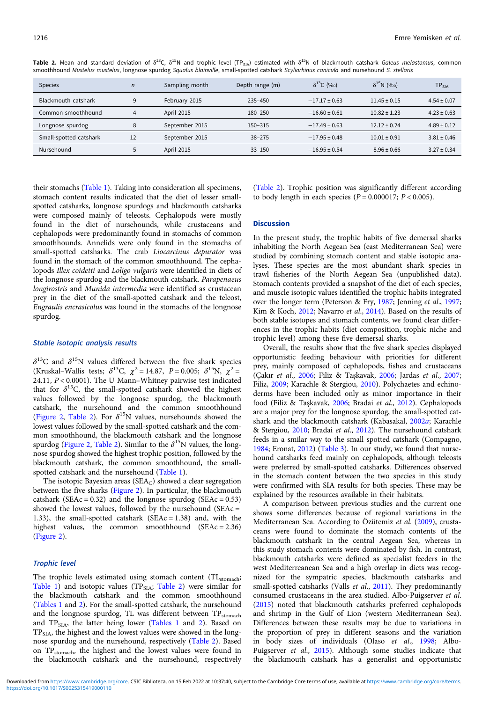| <b>Species</b>         | $\overline{n}$ | Sampling month | Depth range (m) | $\delta^{13}$ C (‰) | $\delta^{15}N$ (%o) | $\mathsf{TP}_{\mathsf{SIA}}$ |
|------------------------|----------------|----------------|-----------------|---------------------|---------------------|------------------------------|
| Blackmouth catshark    |                | February 2015  | $235 - 450$     | $-17.17 \pm 0.63$   | $11.45 \pm 0.15$    | $4.54 \pm 0.07$              |
| Common smoothhound     | 4              | April 2015     | 180-250         | $-16.60 \pm 0.61$   | $10.82 \pm 1.23$    | $4.23 \pm 0.63$              |
| Longnose spurdog       | 8              | September 2015 | $150 - 315$     | $-17.49 \pm 0.63$   | $12.12 \pm 0.24$    | $4.89 \pm 0.12$              |
| Small-spotted catshark | 12             | September 2015 | $38 - 275$      | $-17.95 \pm 0.48$   | $10.01 \pm 0.91$    | $3.81 \pm 0.46$              |
| Nursehound             |                | April 2015     | $33 - 150$      | $-16.95 \pm 0.54$   | $8.96 \pm 0.66$     | $3.27 \pm 0.34$              |

Table 2. Mean and standard deviation of  $\delta^{13}C$ ,  $\delta^{15}N$  and trophic level (TP<sub>SIA</sub>) estimated with  $\delta^{15}N$  of blackmouth catshark Galeus melastomus, common smoothhound Mustelus mustelus, longnose spurdog Squalus blainville, small-spotted catshark Scyliorhinus canicula and nursehound S. stellaris

their stomachs ([Table 1\)](#page-2-0). Taking into consideration all specimens, stomach content results indicated that the diet of lesser smallspotted catsharks, longnose spurdogs and blackmouth catsharks were composed mainly of teleosts. Cephalopods were mostly found in the diet of nursehounds, while crustaceans and cephalopods were predominantly found in stomachs of common smoothhounds. Annelids were only found in the stomachs of small-spotted catsharks. The crab Liocarcinus depurator was found in the stomach of the common smoothhound. The cephalopods Illex coidetti and Loligo vulgaris were identified in diets of the longnose spurdog and the blackmouth catshark. Parapenaeus longirostris and Munida intermedia were identified as crustacean prey in the diet of the small-spotted catshark and the teleost, Engraulis encrasicolus was found in the stomachs of the longnose spurdog.

#### Stable isotopic analysis results

 $\delta^{13}$ C and  $\delta^{15}$ N values differed between the five shark species (Kruskal–Wallis tests;  $\delta^{13}C$ ,  $\chi^2 = 14.87$ ,  $P = 0.005$ ;  $\delta^{15}N$ ,  $\chi^2 =$ 24.11,  $P < 0.0001$ ). The U Mann–Whitney pairwise test indicated that for  $\delta^{13}$ C, the small-spotted catshark showed the highest values followed by the longnose spurdog, the blackmouth catshark, the nursehound and the common smoothhound ([Figure 2,](#page-2-0) Table 2). For  $\delta^{15}N$  values, nursehounds showed the lowest values followed by the small-spotted catshark and the common smoothhound, the blackmouth catshark and the longnose spurdog ([Figure 2](#page-2-0), Table 2). Similar to the  $\delta^{15}N$  values, the longnose spurdog showed the highest trophic position, followed by the blackmouth catshark, the common smoothhound, the small-spotted catshark and the nursehound [\(Table 1\)](#page-2-0).

The isotopic Bayesian areas ( $SEA_C$ ) showed a clear segregation between the five sharks ([Figure 2](#page-2-0)). In particular, the blackmouth catshark ( $SEAc = 0.32$ ) and the longnose spurdog ( $SEAc = 0.53$ ) showed the lowest values, followed by the nursehound (SEAc = 1.33), the small-spotted catshark (SEAc = 1.38) and, with the highest values, the common smoothhound (SEAc = 2.36) ([Figure 2\)](#page-2-0).

#### Trophic level

The trophic levels estimated using stomach content (TL<sub>stomach</sub>; [Table 1](#page-2-0)) and isotopic values (TP $_{\text{SIA}}$ ; Table 2) were similar for the blackmouth catshark and the common smoothhound ([Tables 1](#page-2-0) and 2). For the small-spotted catshark, the nursehound and the longnose spurdog, TL was different between  $TP_{\text{stomach}}$ and  $TP<sub>SIA</sub>$ , the latter being lower [\(Tables 1](#page-2-0) and 2). Based on TP<sub>SIA</sub>, the highest and the lowest values were showed in the longnose spurdog and the nursehound, respectively (Table 2). Based on TP<sub>stomach</sub>, the highest and the lowest values were found in the blackmouth catshark and the nursehound, respectively (Table 2). Trophic position was significantly different according to body length in each species  $(P = 0.000017; P < 0.005)$ .

#### **Discussion**

In the present study, the trophic habits of five demersal sharks inhabiting the North Aegean Sea (east Mediterranean Sea) were studied by combining stomach content and stable isotopic analyses. These species are the most abundant shark species in trawl fisheries of the North Aegean Sea (unpublished data). Stomach contents provided a snapshot of the diet of each species, and muscle isotopic values identified the trophic habits integrated over the longer term (Peterson & Fry, [1987;](#page-6-0) Jenning et al., [1997;](#page-6-0) Kim & Koch, [2012;](#page-6-0) Navarro et al., [2014\)](#page-6-0). Based on the results of both stable isotopes and stomach contents, we found clear differences in the trophic habits (diet composition, trophic niche and trophic level) among these five demersal sharks.

Overall, the results show that the five shark species displayed opportunistic feeding behaviour with priorities for different prey, mainly composed of cephalopods, fishes and crustaceans (Çakır et al., [2006;](#page-5-0) Filiz & Taşkavak, [2006;](#page-6-0) Jardas et al., [2007;](#page-6-0) Filiz, [2009](#page-6-0); Karachle & Stergiou, [2010](#page-6-0)). Polychaetes and echinoderms have been included only as minor importance in their food (Filiz & Taşkavak, [2006;](#page-6-0) Bradai et al., [2012](#page-5-0)). Cephalopods are a major prey for the longnose spurdog, the small-spotted catshark and the blackmouth catshark (Kabasakal, [2002](#page-6-0)a; Karachle & Stergiou, [2010;](#page-6-0) Bradai et al., [2012\)](#page-5-0). The nursehound catshark feeds in a smilar way to the small spotted catshark (Compagno, [1984;](#page-5-0) Eronat, [2012\)](#page-5-0) [\(Table 3](#page-4-0)). In our study, we found that nursehound catsharks feed mainly on cephalopods, although teleosts were preferred by small-spotted catsharks. Differences observed in the stomach content between the two species in this study were confirmed with SIA results for both species. These may be explained by the resources available in their habitats.

A comparison between previous studies and the current one shows some differences because of regional variations in the Mediterranean Sea. According to Özütemiz et al. ([2009](#page-6-0)), crustaceans were found to dominate the stomach contents of the blackmouth catshark in the central Aegean Sea, whereas in this study stomach contents were dominated by fish. In contrast, blackmouth catsharks were defined as specialist feeders in the west Mediterreanean Sea and a high overlap in diets was recognized for the sympatric species, blackmouth catsharks and small-spotted catsharks (Valls et al., [2011](#page-6-0)). They predominantly consumed crustaceans in the area studied. Albo-Puigserver et al. ([2015\)](#page-5-0) noted that blackmouth catsharks preferred cephalopods and shrimp in the Gulf of Lion (western Mediterranean Sea). Differences between these results may be due to variations in the proportion of prey in different seasons and the variation in body sizes of individuals (Olaso et al., [1998;](#page-6-0) Albo-Puigserver et al., [2015\)](#page-5-0). Although some studies indicate that the blackmouth catshark has a generalist and opportunistic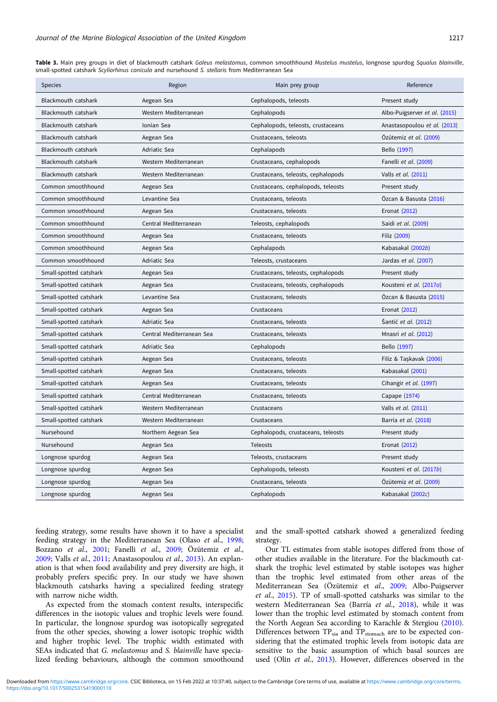<span id="page-4-0"></span>Table 3. Main prey groups in diet of blackmouth catshark Galeus melastomus, common smoothhound Mustelus mustelus, longnose spurdog Squalus blainville, small-spotted catshark Scyliorhinus canicula and nursehound S. stellaris from Mediterranean Sea

| <b>Species</b>         | Region                    | Main prey group                    | Reference                     |
|------------------------|---------------------------|------------------------------------|-------------------------------|
| Blackmouth catshark    | Aegean Sea                | Cephalopods, teleosts              | Present study                 |
| Blackmouth catshark    | Western Mediterranean     | Cephalopods                        | Albo-Puigserver et al. (2015) |
| Blackmouth catshark    | Ionian Sea                | Cephalopods, teleosts, crustaceans | Anastasopoulou et al. (2013)  |
| Blackmouth catshark    | Aegean Sea                | Crustaceans, teleosts              | Özütemiz et al. (2009)        |
| Blackmouth catshark    | Adriatic Sea              | Cephalapods                        | Bello (1997)                  |
| Blackmouth catshark    | Western Mediterranean     | Crustaceans, cephalopods           | Fanelli et al. (2009)         |
| Blackmouth catshark    | Western Mediterranean     | Crustaceans, teleosts, cephalopods | Valls et al. (2011)           |
| Common smoothhound     | Aegean Sea                | Crustaceans, cephalopods, teleosts | Present study                 |
| Common smoothhound     | Levantine Sea             | Crustaceans, teleosts              | Özcan & Basusta (2016)        |
| Common smoothhound     | Aegean Sea                | Crustaceans, teleosts              | Eronat (2012)                 |
| Common smoothhound     | Central Mediterranean     | Teleosts, cephalopods              | Saidi et al. (2009)           |
| Common smoothhound     | Aegean Sea                | Crustaceans, teleosts              | Filiz (2009)                  |
| Common smoothhound     | Aegean Sea                | Cephalapods                        | Kabasakal (2002b)             |
| Common smoothhound     | Adriatic Sea              | Teleosts, crustaceans              | Jardas et al. (2007)          |
| Small-spotted catshark | Aegean Sea                | Crustaceans, teleosts, cephalopods | Present study                 |
| Small-spotted catshark | Aegean Sea                | Crustaceans, teleosts, cephalopods | Kousteni et al. (2017a)       |
| Small-spotted catshark | Levantine Sea             | Crustaceans, teleosts              | Özcan & Basusta (2015)        |
| Small-spotted catshark | Aegean Sea                | Crustaceans                        | Eronat (2012)                 |
| Small-spotted catshark | Adriatic Sea              | Crustaceans, teleosts              | Santić et al. (2012)          |
| Small-spotted catshark | Central Mediterranean Sea | Crustaceans, teleosts              | Mnasri et al. (2012)          |
| Small-spotted catshark | Adriatic Sea              | Cephalopods                        | Bello (1997)                  |
| Small-spotted catshark | Aegean Sea                | Crustaceans, teleosts              | Filiz & Taşkavak (2006)       |
| Small-spotted catshark | Aegean Sea                | Crustaceans, teleosts              | Kabasakal (2001)              |
| Small-spotted catshark | Aegean Sea                | Crustaceans, teleosts              | Cihangir et al. (1997)        |
| Small-spotted catshark | Central Mediterranean     | Crustaceans, teleosts              | Capape (1974)                 |
| Small-spotted catshark | Western Mediterranean     | Crustaceans                        | Valls et al. (2011)           |
| Small-spotted catshark | Western Mediterranean     | Crustaceans                        | Barría et al. (2018)          |
| Nursehound             | Northern Aegean Sea       | Cephalopods, crustaceans, teleosts | Present study                 |
| Nursehound             | Aegean Sea                | <b>Teleosts</b>                    | Eronat (2012)                 |
| Longnose spurdog       | Aegean Sea                | Teleosts, crustaceans              | Present study                 |
| Longnose spurdog       | Aegean Sea                | Cephalopods, teleosts              | Kousteni et al. (2017b)       |
| Longnose spurdog       | Aegean Sea                | Crustaceans, teleosts              | Özütemiz et al. (2009)        |
| Longnose spurdog       | Aegean Sea                | Cephalopods                        | Kabasakal (2002c)             |

feeding strategy, some results have shown it to have a specialist feeding strategy in the Mediterranean Sea (Olaso et al., [1998;](#page-6-0) Bozzano et al., [2001](#page-5-0); Fanelli et al., [2009;](#page-5-0) Özütemiz et al., [2009;](#page-6-0) Valls et al., [2011;](#page-6-0) Anastasopoulou et al., [2013\)](#page-5-0). An explanation is that when food availability and prey diversity are high, it probably prefers specific prey. In our study we have shown blackmouth catsharks having a specialized feeding strategy with narrow niche width.

As expected from the stomach content results, interspecific differences in the isotopic values and trophic levels were found. In particular, the longnose spurdog was isotopically segregated from the other species, showing a lower isotopic trophic width and higher trophic level. The trophic width estimated with SEAs indicated that G. melastomus and S. blainville have specialized feeding behaviours, although the common smoothound and the small-spotted catshark showed a generalized feeding strategy.

Our TL estimates from stable isotopes differed from those of other studies available in the literature. For the blackmouth catshark the trophic level estimated by stable isotopes was higher than the trophic level estimated from other areas of the Mediterranean Sea (Özütemiz et al., [2009](#page-6-0); Albo-Puigserver et al., [2015\)](#page-5-0). TP of small-spotted catsharks was similar to the western Mediterranean Sea (Barría et al., [2018\)](#page-5-0), while it was lower than the trophic level estimated by stomach content from the North Aegean Sea according to Karachle & Stergiou ([2010](#page-6-0)). Differences between  $TP_{sia}$  and  $TP_{stomach}$  are to be expected considering that the estimated trophic levels from isotopic data are sensitive to the basic assumption of which basal sources are used (Olin et al., [2013\)](#page-6-0). However, differences observed in the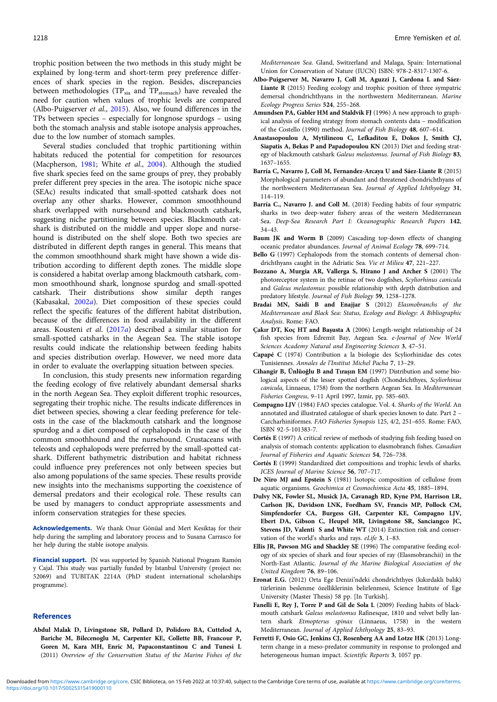<span id="page-5-0"></span>trophic position between the two methods in this study might be explained by long-term and short-term prey preference differences of shark species in the region. Besides, discrepancies between methodologies (TP<sub>sia</sub> and TP<sub>stomach</sub>) have revealed the need for caution when values of trophic levels are compared (Albo-Puigserver et al., 2015). Also, we found differences in the TPs between species – especially for longnose spurdogs – using both the stomach analysis and stable isotope analysis approaches, due to the low number of stomach samples.

Several studies concluded that trophic partitioning within habitats reduced the potential for competition for resources (Macpherson, [1981;](#page-6-0) White et al., [2004\)](#page-6-0). Although the studied five shark species feed on the same groups of prey, they probably prefer different prey species in the area. The isotopic niche space (SEAc) results indicated that small-spotted catshark does not overlap any other sharks. However, common smoothhound shark overlapped with nursehound and blackmouth catshark, suggesting niche partitioning between species. Blackmouth catshark is distributed on the middle and upper slope and nursehound is distributed on the shelf slope. Both two species are distributed in different depth ranges in general. This means that the common smoothhound shark might have shown a wide distribution according to different depth zones. The middle slope is considered a habitat overlap among blackmouth catshark, common smoothhound shark, longnose spurdog and small-spotted catshark. Their distributions show similar depth ranges (Kabasakal, [2002](#page-6-0)a). Diet composition of these species could reflect the specific features of the different habitat distribution, because of the differences in food availability in the different areas. Kousteni et al. ([2017](#page-6-0)a) described a similar situation for small-spotted catsharks in the Aegean Sea. The stable isotope results could indicate the relationship between feeding habits and species distribution overlap. However, we need more data in order to evaluate the overlapping situation between species.

In conclusion, this study presents new information regarding the feeding ecology of five relatively abundant demersal sharks in the north Aegean Sea. They exploit different trophic resources, segregating their trophic niche. The results indicate differences in diet between species, showing a clear feeding preference for teleosts in the case of the blackmouth catshark and the longnose spurdog and a diet composed of cephalopods in the case of the common smoothhound and the nursehound. Crustaceans with teleosts and cephalopods were preferred by the small-spotted catshark. Different bathymetric distribution and habitat richness could influence prey preferences not only between species but also among populations of the same species. These results provide new insights into the mechanisms supporting the coexistence of demersal predators and their ecological role. These results can be used by managers to conduct appropriate assessments and inform conservation strategies for these species.

Acknowledgements. We thank Onur Gönüal and Mert Kesiktaş for their help during the sampling and laboratory process and to Susana Carrasco for her help during the stable isotope analysis.

Financial support. JN was supported by Spanish National Program Ramón y Cajal. This study was partially funded by Istanbul University (project no: 52069) and TUBITAK 2214A (PhD student international scholarships programme).

#### References

Abdul Malak D, Livingstone SR, Pollard D, Polidoro BA, Cuttelod A, Bariche M, Bilecenoglu M, Carpenter KE, Collette BB, Francour P, Goren M, Kara MH, Enric M, Papaconstantinou C and Tunesi L (2011) Overview of the Conservation Status of the Marine Fishes of the Mediterranean Sea. Gland, Switzerland and Malaga, Spain: International Union for Conservation of Nature (IUCN) ISBN: 978-2-8317-1307-6.

- Albo-Puigserver M, Navarro J, Coll M, Aguzzi J, Cardona L and Sáez-Liante R (2015) Feeding ecology and trophic position of three sympatric demersal chondrichthyans in the northwestern Mediterranean. Marine Ecology Progress Series 524, 255–268.
- Amundsen PA, Gabler HM and Staldvik FJ (1996) A new approach to graphical analysis of feeding strategy from stomach contents data – modification of the Costello (1990) method. Journal of Fish Biology 48, 607–614.
- Anastasopoulou A, Mytilineou C, Lefkaditou E, Dokos J, Smith CJ, Siapatis A, Bekas P and Papadopoulou KN (2013) Diet and feeding strategy of blackmouth catshark Galeus melastomus. Journal of Fish Biology 83, 1637–1655.
- Barría C, Navarro J, Coll M, Fernandez‐Arcaya U and Sáez‐Liante R (2015) Morphological parameters of abundant and threatened chondrichthyans of the northwestern Mediterranean Sea. Journal of Applied Ichthyology 31, 114–119.
- Barría C., Navarro J. and Coll M. (2018) Feeding habits of four sympatric sharks in two deep-water fishery areas of the western Mediterranean Sea. Deep-Sea Research Part I: Oceanographic Research Papers 142, 34–43.
- Baum JK and Worm B (2009) Cascading top-down effects of changing oceanic predator abundances. Journal of Animal Ecology 78, 699–714.
- Bello G (1997) Cephalopods from the stomach contents of demersal chondrichthyans caught in the Adriatic Sea. Vie et Milieu 47, 221–227.
- Bozzano A, Murgia AR, Vallerga S, Hirano J and Archer S (2001) The photoreceptor system in the retinae of two dogfishes, Scyliorhinus canicula and Galeus melastomus: possible relationship with depth distribution and predatory lifestyle. Journal of Fish Biology 59, 1258–1278.
- Bradai MN, Saidi B and Enajjar S (2012) Elasmobranchs of the Mediterranean and Black Sea: Status, Ecology and Biology: A Bibliographic Analysis. Rome: FAO.
- Çakır DT, Koç HT and Başusta A (2006) Length-weight relationship of 24 fish species from Edremit Bay, Aegean Sea. e-Journal of New World Sciences Academy Natural and Engineering Sciences 3, 47–51.
- Capapé C (1974) Contribution a la biologie des Scyliorhinidae des cotes Tunisiennes. Annales de l'Institut Michel Pacha 7, 13–29.
- Cihangir B, Ünlüoğlu B and Tıraşın EM (1997) Distribution and some biological aspects of the lesser spotted dogfish (Chondrichthyes, Scyliorhinus canicula, Linnaeus, 1758) from the northern Aegean Sea. In Mediterranean Fisheries Congress, 9–11 April 1997, Izmir, pp. 585–603.
- Compagno LJV (1984) FAO species catalogue. Vol. 4. Sharks of the World. An annotated and illustrated catalogue of shark species known to date. Part 2 – Carcharhiniformes. FAO Fisheries Synopsis 125, 4/2, 251–655. Rome: FAO, ISBN 92-5-101383-7.
- Cortés E (1997) A critical review of methods of studying fish feeding based on analysis of stomach contents: application to elasmobranch fishes. Canadian Journal of Fisheries and Aquatic Sciences 54, 726–738.
- Cortés E (1999) Standardized diet compositions and trophic levels of sharks. ICES Journal of Marine Science 56, 707–717.
- De Niro MJ and Epstein S (1981) Isotopic composition of cellulose from aquatic organisms. Geochimica et Cosmochimica Acta 45, 1885–1894.
- Dulvy NK, Fowler SL, Musick JA, Cavanagh RD, Kyne PM, Harrison LR, Carlson JK, Davidson LNK, Fordham SV, Francis MP, Pollock CM, Simpfendorfer CA, Burgess GH, Carpenter KE, Compagno LJV, Ebert DA, Gibson C, Heupel MR, Livingstone SR, Sanciangco JC, Stevens JD, Valenti S and White WT (2014) Extinction risk and conservation of the world's sharks and rays. eLife 3, 1–83.
- Ellis JR, Pawson MG and Shackley SE (1996) The comparative feeding ecology of six species of shark and four species of ray (Elasmobranchii) in the North-East Atlantic. Journal of the Marine Biological Association of the United Kingdom 76, 89–106.
- Eronat E.G. (2012) Orta Ege Denizi'ndeki chondrichthyes (kıkırdaklı balık) türlerinin beslenme özelliklerinin belirlenmesi, Science Institute of Ege University (Master Thesis) 58 pp. [In Turkish].
- Fanelli E, Rey J, Torre P and Gil de Sola L (2009) Feeding habits of blackmouth catshark Galeus melastomus Rafinesque, 1810 and velvet belly lantern shark Etmopterus spinax (Linnaeus, 1758) in the western Mediterranean. Journal of Applied Ichthyology 25, 83–93.
- Ferretti F, Osio GC, Jenkins CJ, Rosenberg AA and Lotze HK (2013) Longterm change in a meso-predator community in response to prolonged and heterogeneous human impact. Scientific Reports 3, 1057 pp.